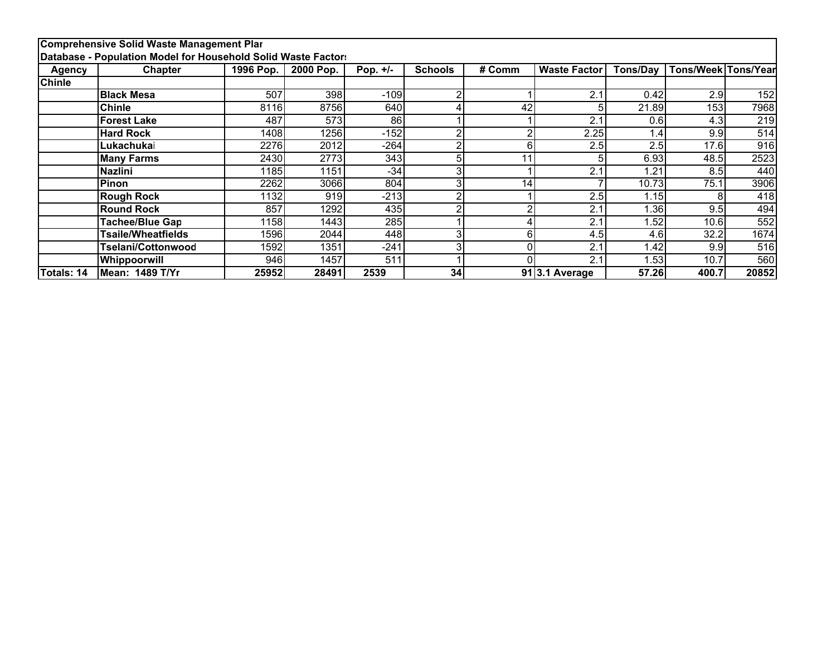|               | Comprehensive Solid Waste Management Plar                     |           |           |            |                |        |                     |                 |                     |       |
|---------------|---------------------------------------------------------------|-----------|-----------|------------|----------------|--------|---------------------|-----------------|---------------------|-------|
|               | Database - Population Model for Household Solid Waste Factor: |           |           |            |                |        |                     |                 |                     |       |
| <b>Agency</b> | <b>Chapter</b>                                                | 1996 Pop. | 2000 Pop. | Pop. $+/-$ | <b>Schools</b> | # Comm | <b>Waste Factor</b> | <b>Tons/Dav</b> | Tons/Week Tons/Year |       |
| <b>Chinle</b> |                                                               |           |           |            |                |        |                     |                 |                     |       |
|               | <b>Black Mesa</b>                                             | 507       | 398       | $-109$     | 2              |        | 2.1                 | 0.42            | 2.9                 | 152   |
|               | <b>Chinle</b>                                                 | 8116      | 8756      | 640        | 4              | 42     |                     | 21.89           | 153                 | 7968  |
|               | <b>Forest Lake</b>                                            | 487       | 573       | 86         |                |        | 2.1                 | 0.6             | 4.3                 | 219   |
|               | <b>Hard Rock</b>                                              | 1408      | 1256      | $-152$     | 2              |        | 2.25                | 1.4.            | 9.9                 | 514   |
|               | Lukachukai                                                    | 2276      | 2012      | $-264$     | 2              |        | 2.5                 | 2.5             | 17.6                | 916   |
|               | <b>Many Farms</b>                                             | 2430      | 2773      | 343        | 5              | 11     |                     | 6.93            | 48.5                | 2523  |
|               | <b>Nazlini</b>                                                | 1185      | 1151      | $-34$      | 3              |        | 2.1                 | 1.21            | 8.5                 | 440   |
|               | Pinon                                                         | 2262      | 3066      | 804        | 3              | 14     |                     | 10.73           | 75.1                | 3906  |
|               | <b>Rough Rock</b>                                             | 1132      | 919       | $-213$     | c              |        | 2.5                 | 1.15            |                     | 418   |
|               | <b>Round Rock</b>                                             | 857       | 1292      | 435        | c              |        | 2.1                 | 1.36            | 9.5                 | 494   |
|               | Tachee/Blue Gap                                               | 1158      | 1443      | 285        |                |        | 2.1                 | 1.52            | 10.6                | 552   |
|               | Tsaile/Wheatfields                                            | 1596      | 2044      | 448        | 3              |        | 4.5                 | 4.6             | 32.2                | 1674  |
|               | Tselani/Cottonwood                                            | 1592      | 1351      | $-241$     | 3              |        | 2.1                 | 1.42            | 9.9                 | 516   |
|               | Whippoorwill                                                  | 946       | 1457      | 511        |                |        | 2.1                 | ∣.53∣           | 10.7                | 560   |
| Totals: 14    | Mean: 1489 T/Yr                                               | 25952     | 28491     | 2539       | 34             |        | 913.1 Average       | 57.26           | 400.7               | 20852 |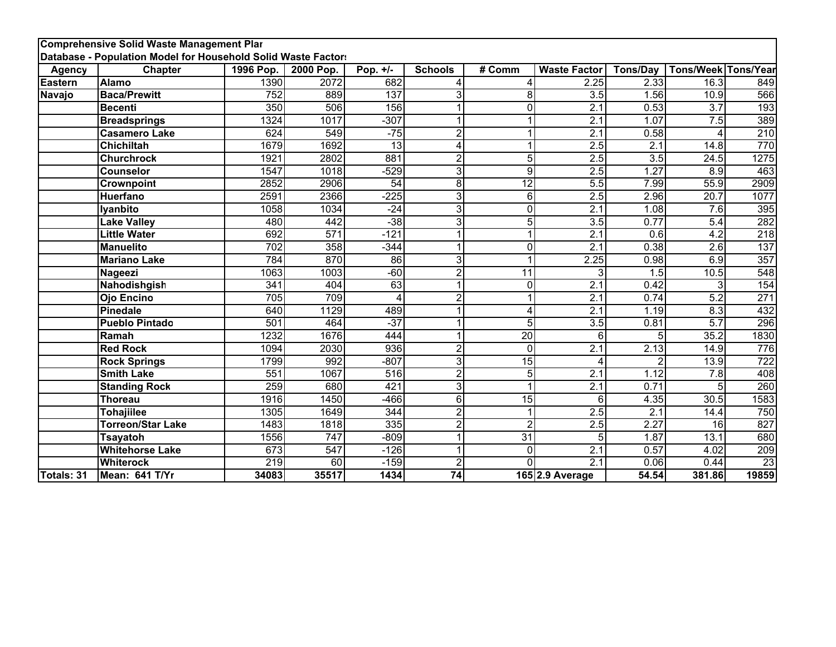|                | <b>Comprehensive Solid Waste Management Plar</b><br>Database - Population Model for Household Solid Waste Factors |                  |                  |                  |                |                 |                     |                  |                            |                  |
|----------------|-------------------------------------------------------------------------------------------------------------------|------------------|------------------|------------------|----------------|-----------------|---------------------|------------------|----------------------------|------------------|
| <b>Agency</b>  | <b>Chapter</b>                                                                                                    | 1996 Pop.        | 2000 Pop.        | Pop. $+/-$       | <b>Schools</b> | # Comm          | <b>Waste Factor</b> | <b>Tons/Day</b>  | <b>Tons/Week Tons/Year</b> |                  |
| <b>Eastern</b> | <b>Alamo</b>                                                                                                      | 1390             | 2072             | 682              | 4              | 4               | 2.25                | 2.33             | 16.3                       | 849              |
| Navajo         | <b>Baca/Prewitt</b>                                                                                               | 752              | 889              | 137              | 3              | 8               | 3.5                 | 1.56             | 10.9                       | 566              |
|                | <b>Becenti</b>                                                                                                    | 350              | 506              | 156              |                | $\Omega$        | 2.1                 | 0.53             | $\overline{3.7}$           | 193              |
|                | <b>Breadsprings</b>                                                                                               | 1324             | 1017             | $-307$           |                |                 | $\overline{2.1}$    | 1.07             | 7.5                        | 389              |
|                | <b>Casamero Lake</b>                                                                                              | 624              | 549              | $-75$            | $\overline{2}$ |                 | 2.1                 | 0.58             | 4                          | 210              |
|                | Chichiltah                                                                                                        | 1679             | 1692             | $\overline{13}$  | 4              |                 | 2.5                 | $\overline{2.1}$ | 14.8                       | 770              |
|                | <b>Churchrock</b>                                                                                                 | 1921             | 2802             | 881              | $\overline{2}$ | 5               | $\overline{2.5}$    | $\overline{3.5}$ | $\overline{24.5}$          | 1275             |
|                | <b>Counselor</b>                                                                                                  | 1547             | 1018             | $-529$           | 3              | 9               | 2.5                 | 1.27             | 8.9                        | 463              |
|                | <b>Crownpoint</b>                                                                                                 | 2852             | 2906             | $\overline{54}$  | $\overline{8}$ | $\overline{12}$ | $\overline{5.5}$    | 7.99             | 55.9                       | 2909             |
|                | Huerfano                                                                                                          | 2591             | 2366             | $-225$           | 3              | 6               | $\overline{2.5}$    | 2.96             | 20.7                       | 1077             |
|                | lyanbito                                                                                                          | 1058             | 1034             | $-24$            | 3              | $\Omega$        | 2.1                 | 1.08             | 7.6                        | 395              |
|                | <b>Lake Valley</b>                                                                                                | 480              | 442              | $-38$            | 3              | 5               | $\overline{3.5}$    | 0.77             | $\overline{5.4}$           | 282              |
|                | <b>Little Water</b>                                                                                               | 692              | 571              | $-121$           | 1              | 1               | $\overline{2.1}$    | 0.6              | 4.2                        | 218              |
|                | <b>Manuelito</b>                                                                                                  | $\overline{702}$ | 358              | $-344$           | 1              | $\mathbf 0$     | $\overline{2.1}$    | 0.38             | $\overline{2.6}$           | 137              |
|                | <b>Mariano Lake</b>                                                                                               | 784              | 870              | 86               | 3              | 4               | 2.25                | 0.98             | 6.9                        | 357              |
|                | Nageezi                                                                                                           | 1063             | 1003             | $-60$            | $\overline{2}$ | 11              | 3                   | 1.5              | 10.5                       | 548              |
|                | Nahodishgish                                                                                                      | 341              | 404              | 63               | 1              | $\Omega$        | $\overline{2.1}$    | 0.42             | 3                          | 154              |
|                | <b>Ojo Encino</b>                                                                                                 | 705              | 709              | 4                | $\overline{2}$ |                 | 2.1                 | 0.74             | $\overline{5.2}$           | 271              |
|                | <b>Pinedale</b>                                                                                                   | 640              | 1129             | 489              |                | Δ               | $\overline{2.1}$    | 1.19             | 8.3                        | 432              |
|                | <b>Pueblo Pintado</b>                                                                                             | $\overline{501}$ | 464              | $-37$            |                | 5               | 3.5                 | 0.81             | $\overline{5.7}$           | 296              |
|                | Ramah                                                                                                             | 1232             | 1676             | 444              | 1              | $\overline{20}$ | 6                   | 5                | 35.2                       | 1830             |
|                | <b>Red Rock</b>                                                                                                   | 1094             | 2030             | 936              | $\overline{2}$ | $\Omega$        | $\overline{2.1}$    | 2.13             | 14.9                       | 776              |
|                | <b>Rock Springs</b>                                                                                               | 1799             | 992              | $-807$           | 3              | $\overline{15}$ | 4                   | 2                | 13.9                       | $\overline{722}$ |
|                | <b>Smith Lake</b>                                                                                                 | $\overline{551}$ | 1067             | $\overline{516}$ | $\overline{2}$ | 5               | $\overline{2.1}$    | 1.12             | 7.8                        | 408              |
|                | <b>Standing Rock</b>                                                                                              | 259              | 680              | 421              | 3              |                 | $\overline{2.1}$    | 0.71             | 5                          | 260              |
|                | Thoreau                                                                                                           | 1916             | 1450             | $-466$           | $\overline{6}$ | $\overline{15}$ | 6                   | 4.35             | $\overline{30.5}$          | 1583             |
|                | <b>Tohajiilee</b>                                                                                                 | 1305             | 1649             | 344              | $\overline{2}$ |                 | $\overline{2.5}$    | $\overline{2.1}$ | 14.4                       | 750              |
|                | <b>Torreon/Star Lake</b>                                                                                          | 1483             | 1818             | 335              | $\overline{2}$ | $\overline{2}$  | 2.5                 | 2.27             | $\overline{16}$            | 827              |
|                | <b>Tsayatoh</b>                                                                                                   | 1556             | $\overline{747}$ | $-809$           | 1              | $\overline{31}$ | 5                   | 1.87             | 13.1                       | 680              |
|                | <b>Whitehorse Lake</b>                                                                                            | 673              | 547              | $-126$           | $\overline{1}$ | $\Omega$        | $\overline{2.1}$    | 0.57             | 4.02                       | 209              |
|                | <b>Whiterock</b>                                                                                                  | 219              | $\overline{60}$  | $-159$           | $\overline{2}$ | O               | $\overline{2.1}$    | 0.06             | 0.44                       | 23               |
| Totals: 31     | Mean: 641 T/Yr                                                                                                    | 34083            | 35517            | 1434             | 74             |                 | 165 2.9 Average     | 54.54            | 381.86                     | 19859            |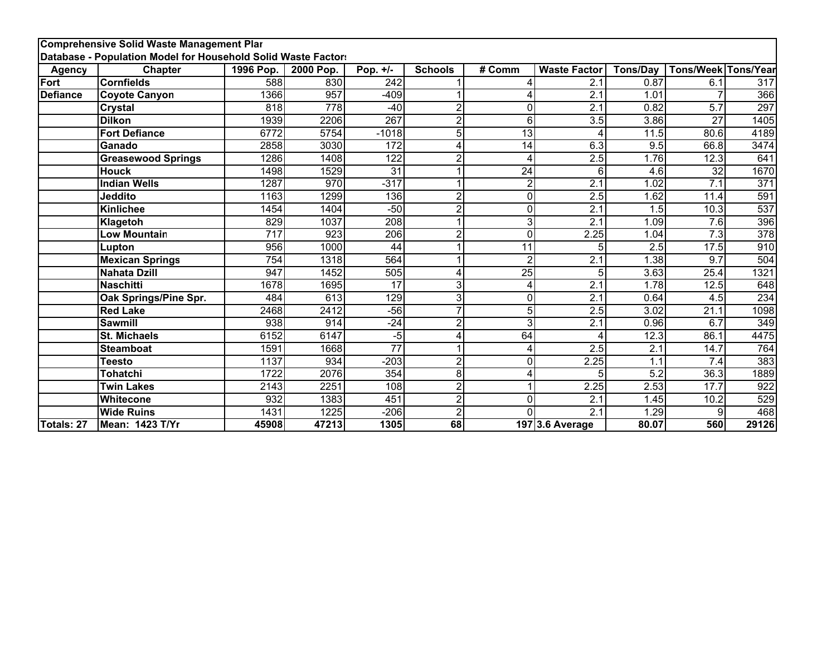|                 | <b>Comprehensive Solid Waste Management Plar</b>              |                  |                  |                  |                |                 |                     |                  |                     |                  |
|-----------------|---------------------------------------------------------------|------------------|------------------|------------------|----------------|-----------------|---------------------|------------------|---------------------|------------------|
|                 | Database - Population Model for Household Solid Waste Factors |                  |                  |                  |                |                 |                     |                  |                     |                  |
| <b>Agency</b>   | Chapter                                                       | 1996 Pop.        | 2000 Pop.        | Pop. +/-         | <b>Schools</b> | # Comm          | <b>Waste Factor</b> | <b>Tons/Day</b>  | Tons/Week Tons/Year |                  |
| Fort            | <b>Cornfields</b>                                             | 588              | 830              | 242              |                |                 | 2.1                 | 0.87             | 6.1                 | 317              |
| <b>Defiance</b> | <b>Coyote Canyon</b>                                          | 1366             | 957              | $-409$           |                |                 | $\overline{2.1}$    | 1.01             |                     | 366              |
|                 | <b>Crystal</b>                                                | 818              | $\overline{778}$ | $-40$            | $\overline{2}$ | $\Omega$        | $\overline{2.1}$    | 0.82             | 5.7                 | 297              |
|                 | <b>Dilkon</b>                                                 | 1939             | 2206             | 267              | $\overline{2}$ | 6               | 3.5                 | 3.86             | 27                  | 1405             |
|                 | <b>Fort Defiance</b>                                          | 6772             | 5754             | $-1018$          | 5              | 13              |                     | 11.5             | 80.6                | 4189             |
|                 | Ganado                                                        | 2858             | 3030             | $\overline{172}$ | 4              | 14              | 6.3                 | 9.5              | 66.8                | 3474             |
|                 | <b>Greasewood Springs</b>                                     | 1286             | 1408             | 122              | $\overline{2}$ | Δ               | 2.5                 | 1.76             | 12.3                | 641              |
|                 | <b>Houck</b>                                                  | 1498             | 1529             | 31               |                | $\overline{24}$ | 6                   | 4.6              | $\overline{32}$     | 1670             |
|                 | <b>Indian Wells</b>                                           | 1287             | 970              | $-317$           |                | $\overline{2}$  | $\overline{2.1}$    | 1.02             | $\overline{7.1}$    | 371              |
|                 | Jeddito                                                       | 1163             | 1299             | 136              | $\overline{2}$ | $\Omega$        | 2.5                 | 1.62             | 11.4                | 591              |
|                 | <b>Kinlichee</b>                                              | 1454             | 1404             | $-50$            | $\overline{2}$ | O               | $\overline{2.1}$    | 1.5              | 10.3                | 537              |
|                 | Klagetoh                                                      | 829              | 1037             | $\overline{208}$ |                | 3               | 2.1                 | 1.09             | 7.6                 | 396              |
|                 | <b>Low Mountain</b>                                           | 717              | 923              | 206              | $\overline{2}$ | $\Omega$        | 2.25                | 1.04             | $\overline{7.3}$    | $\overline{378}$ |
|                 | Lupton                                                        | 956              | 1000             | $\overline{44}$  |                | 11              | 5                   | $\overline{2.5}$ | 17.5                | 910              |
|                 | <b>Mexican Springs</b>                                        | 754              | 1318             | 564              |                | $\overline{2}$  | 2.1                 | 1.38             | 9.7                 | 504              |
|                 | <b>Nahata Dzill</b>                                           | $\overline{947}$ | 1452             | $\frac{1}{505}$  | 4              | $\overline{25}$ | 5                   | 3.63             | 25.4                | 1321             |
|                 | <b>Naschitti</b>                                              | 1678             | 1695             | $\overline{17}$  | 3              | 4               | $\overline{2.1}$    | 1.78             | 12.5                | 648              |
|                 | Oak Springs/Pine Spr.                                         | 484              | 613              | 129              | 3              | $\Omega$        | $\overline{2.1}$    | 0.64             | 4.5                 | 234              |
|                 | <b>Red Lake</b>                                               | 2468             | 2412             | $-56$            | 7              | 5               | 2.5                 | 3.02             | 21.1                | 1098             |
|                 | <b>Sawmill</b>                                                | 938              | 914              | $-24$            | $\overline{2}$ | 3               | $\overline{2.1}$    | 0.96             | 6.7                 | 349              |
|                 | <b>St. Michaels</b>                                           | 6152             | 6147             | $-5$             | 4              | 64              | 4                   | 12.3             | 86.1                | 4475             |
|                 | Steamboat                                                     | 1591             | 1668             | $\overline{77}$  |                | 4               | 2.5                 | 2.1              | 14.7                | 764              |
|                 | <b>Teesto</b>                                                 | 1137             | 934              | $-203$           | $\overline{2}$ | $\Omega$        | 2.25                | 1.1              | 7.4                 | 383              |
|                 | <b>Tohatchi</b>                                               | 1722             | 2076             | 354              | 8              | 4               | 5                   | 5.2              | 36.3                | 1889             |
|                 | <b>Twin Lakes</b>                                             | 2143             | 2251             | 108              | 2              |                 | 2.25                | 2.53             | 17.7                | $\overline{922}$ |
|                 | Whitecone                                                     | 932              | 1383             | 451              | $\overline{2}$ | $\Omega$        | $\overline{2.1}$    | 1.45             | 10.2                | 529              |
|                 | <b>Wide Ruins</b>                                             | 1431             | 1225             | $-206$           | $\overline{2}$ | n               | $\overline{2.1}$    | 1.29             | 9                   | 468              |
| Totals: 27      | Mean: 1423 T/Yr                                               | 45908            | 47213            | 1305             | 68             |                 | 197 3.6 Average     | 80.07            | 560                 | 29126            |